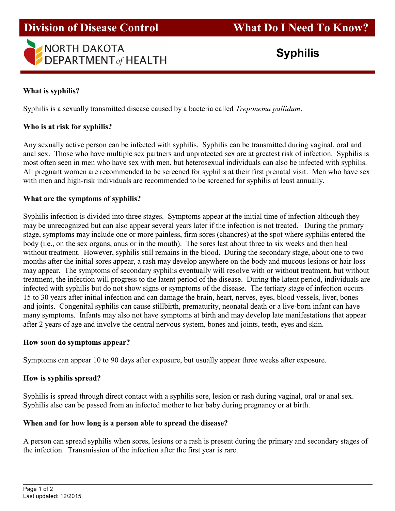# **Division of Disease Control**



## What is syphilis?

Syphilis is a sexually transmitted disease caused by a bacteria called *Treponema pallidum*.

### Who is at risk for syphilis?

Any sexually active person can be infected with syphilis. Syphilis can be transmitted during vaginal, oral and anal sex. Those who have multiple sex partners and unprotected sex are at greatest risk of infection. Syphilis is most often seen in men who have sex with men, but heterosexual individuals can also be infected with syphilis. All pregnant women are recommended to be screened for syphilis at their first prenatal visit. Men who have sex with men and high-risk individuals are recommended to be screened for syphilis at least annually.

#### What are the symptoms of syphilis?

Syphilis infection is divided into three stages. Symptoms appear at the initial time of infection although they may be unrecognized but can also appear several years later if the infection is not treated. During the primary stage, symptoms may include one or more painless, firm sores (chancres) at the spot where syphilis entered the body (i.e., on the sex organs, anus or in the mouth). The sores last about three to six weeks and then heal without treatment. However, syphilis still remains in the blood. During the secondary stage, about one to two months after the initial sores appear, a rash may develop anywhere on the body and mucous lesions or hair loss may appear. The symptoms of secondary syphilis eventually will resolve with or without treatment, but without treatment, the infection will progress to the latent period of the disease. During the latent period, individuals are infected with syphilis but do not show signs or symptoms of the disease. The tertiary stage of infection occurs 15 to 30 years after initial infection and can damage the brain, heart, nerves, eyes, blood vessels, liver, bones and joints. Congenital syphilis can cause stillbirth, prematurity, neonatal death or a live-born infant can have many symptoms. Infants may also not have symptoms at birth and may develop late manifestations that appear after 2 years of age and involve the central nervous system, bones and joints, teeth, eyes and skin.

#### How soon do symptoms appear?

Symptoms can appear 10 to 90 days after exposure, but usually appear three weeks after exposure.

#### How is syphilis spread?

Syphilis is spread through direct contact with a syphilis sore, lesion or rash during vaginal, oral or anal sex. Syphilis also can be passed from an infected mother to her baby during pregnancy or at birth.

#### When and for how long is a person able to spread the disease?

A person can spread syphilis when sores, lesions or a rash is present during the primary and secondary stages of the infection. Transmission of the infection after the first year is rare.